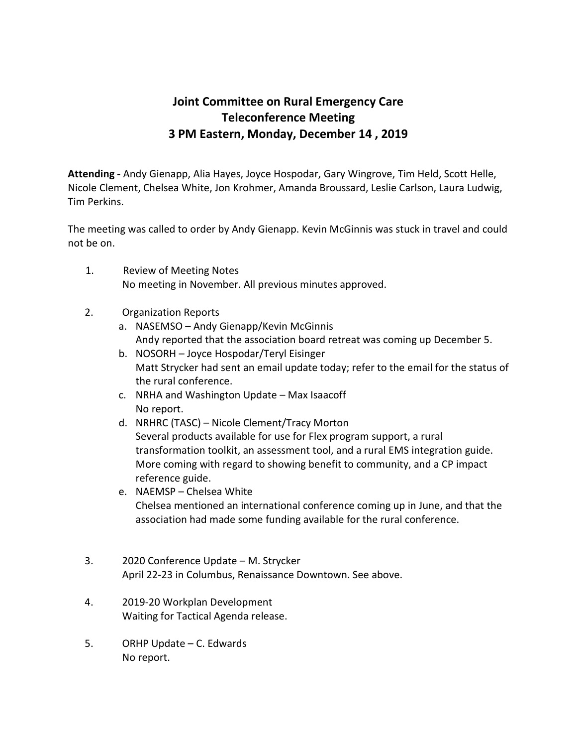## **Joint Committee on Rural Emergency Care Teleconference Meeting 3 PM Eastern, Monday, December 14 , 2019**

**Attending -** Andy Gienapp, Alia Hayes, Joyce Hospodar, Gary Wingrove, Tim Held, Scott Helle, Nicole Clement, Chelsea White, Jon Krohmer, Amanda Broussard, Leslie Carlson, Laura Ludwig, Tim Perkins.

The meeting was called to order by Andy Gienapp. Kevin McGinnis was stuck in travel and could not be on.

- 1. Review of Meeting Notes No meeting in November. All previous minutes approved.
- 2. Organization Reports
	- a. NASEMSO Andy Gienapp/Kevin McGinnis Andy reported that the association board retreat was coming up December 5.
	- b. NOSORH Joyce Hospodar/Teryl Eisinger Matt Strycker had sent an email update today; refer to the email for the status of the rural conference.
	- c. NRHA and Washington Update Max Isaacoff No report.
	- d. NRHRC (TASC) Nicole Clement/Tracy Morton Several products available for use for Flex program support, a rural transformation toolkit, an assessment tool, and a rural EMS integration guide. More coming with regard to showing benefit to community, and a CP impact reference guide.
	- e. NAEMSP Chelsea White Chelsea mentioned an international conference coming up in June, and that the association had made some funding available for the rural conference.
- 3. 2020 Conference Update M. Strycker April 22-23 in Columbus, Renaissance Downtown. See above.
- 4. 2019-20 Workplan Development Waiting for Tactical Agenda release.
- 5. ORHP Update C. Edwards No report.